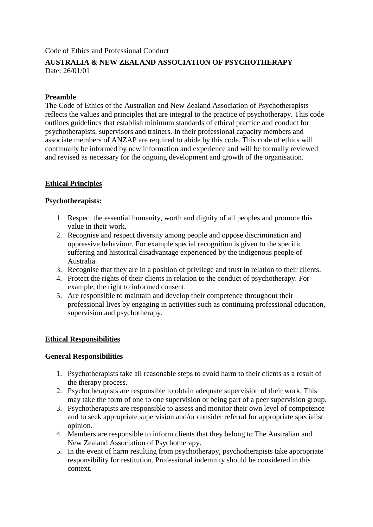Code of Ethics and Professional Conduct

# **AUSTRALIA & NEW ZEALAND ASSOCIATION OF PSYCHOTHERAPY** Date: 26/01/01

### **Preamble**

The Code of Ethics of the Australian and New Zealand Association of Psychotherapists reflects the values and principles that are integral to the practice of psychotherapy. This code outlines guidelines that establish minimum standards of ethical practice and conduct for psychotherapists, supervisors and trainers. In their professional capacity members and associate members of ANZAP are required to abide by this code. This code of ethics will continually be informed by new information and experience and will be formally reviewed and revised as necessary for the ongoing development and growth of the organisation.

# **Ethical Principles**

### **Psychotherapists:**

- 1. Respect the essential humanity, worth and dignity of all peoples and promote this value in their work.
- 2. Recognise and respect diversity among people and oppose discrimination and oppressive behaviour. For example special recognition is given to the specific suffering and historical disadvantage experienced by the indigenous people of Australia.
- 3. Recognise that they are in a position of privilege and trust in relation to their clients.
- 4. Protect the rights of their clients in relation to the conduct of psychotherapy. For example, the right to informed consent.
- 5. Are responsible to maintain and develop their competence throughout their professional lives by engaging in activities such as continuing professional education, supervision and psychotherapy.

## **Ethical Responsibilities**

#### **General Responsibilities**

- 1. Psychotherapists take all reasonable steps to avoid harm to their clients as a result of the therapy process.
- 2. Psychotherapists are responsible to obtain adequate supervision of their work. This may take the form of one to one supervision or being part of a peer supervision group.
- 3. Psychotherapists are responsible to assess and monitor their own level of competence and to seek appropriate supervision and/or consider referral for appropriate specialist opinion.
- 4. Members are responsible to inform clients that they belong to The Australian and New Zealand Association of Psychotherapy.
- 5. In the event of harm resulting from psychotherapy, psychotherapists take appropriate responsibility for restitution. Professional indemnity should be considered in this context.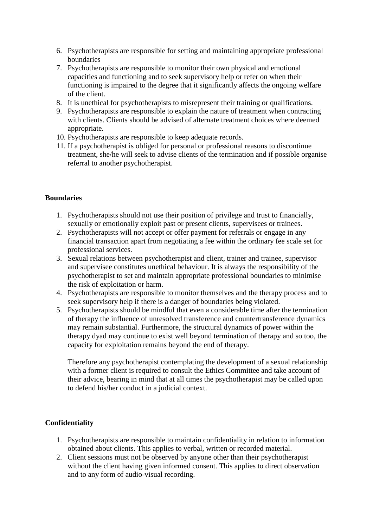- 6. Psychotherapists are responsible for setting and maintaining appropriate professional boundaries
- 7. Psychotherapists are responsible to monitor their own physical and emotional capacities and functioning and to seek supervisory help or refer on when their functioning is impaired to the degree that it significantly affects the ongoing welfare of the client.
- 8. It is unethical for psychotherapists to misrepresent their training or qualifications.
- 9. Psychotherapists are responsible to explain the nature of treatment when contracting with clients. Clients should be advised of alternate treatment choices where deemed appropriate.
- 10. Psychotherapists are responsible to keep adequate records.
- 11. If a psychotherapist is obliged for personal or professional reasons to discontinue treatment, she/he will seek to advise clients of the termination and if possible organise referral to another psychotherapist.

### **Boundaries**

- 1. Psychotherapists should not use their position of privilege and trust to financially, sexually or emotionally exploit past or present clients, supervisees or trainees.
- 2. Psychotherapists will not accept or offer payment for referrals or engage in any financial transaction apart from negotiating a fee within the ordinary fee scale set for professional services.
- 3. Sexual relations between psychotherapist and client, trainer and trainee, supervisor and supervisee constitutes unethical behaviour. It is always the responsibility of the psychotherapist to set and maintain appropriate professional boundaries to minimise the risk of exploitation or harm.
- 4. Psychotherapists are responsible to monitor themselves and the therapy process and to seek supervisory help if there is a danger of boundaries being violated.
- 5. Psychotherapists should be mindful that even a considerable time after the termination of therapy the influence of unresolved transference and countertransference dynamics may remain substantial. Furthermore, the structural dynamics of power within the therapy dyad may continue to exist well beyond termination of therapy and so too, the capacity for exploitation remains beyond the end of therapy.

Therefore any psychotherapist contemplating the development of a sexual relationship with a former client is required to consult the Ethics Committee and take account of their advice, bearing in mind that at all times the psychotherapist may be called upon to defend his/her conduct in a judicial context.

## **Confidentiality**

- 1. Psychotherapists are responsible to maintain confidentiality in relation to information obtained about clients. This applies to verbal, written or recorded material.
- 2. Client sessions must not be observed by anyone other than their psychotherapist without the client having given informed consent. This applies to direct observation and to any form of audio-visual recording.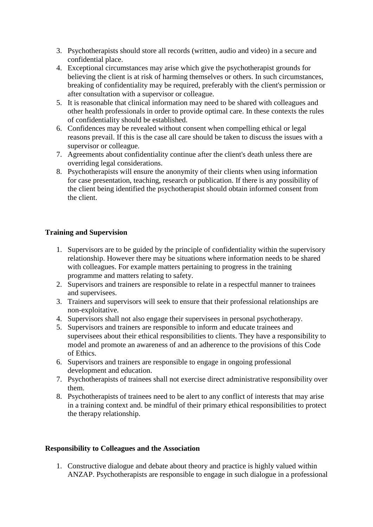- 3. Psychotherapists should store all records (written, audio and video) in a secure and confidential place.
- 4. Exceptional circumstances may arise which give the psychotherapist grounds for believing the client is at risk of harming themselves or others. In such circumstances, breaking of confidentiality may be required, preferably with the client's permission or after consultation with a supervisor or colleague.
- 5. It is reasonable that clinical information may need to be shared with colleagues and other health professionals in order to provide optimal care. In these contexts the rules of confidentiality should be established.
- 6. Confidences may be revealed without consent when compelling ethical or legal reasons prevail. If this is the case all care should be taken to discuss the issues with a supervisor or colleague.
- 7. Agreements about confidentiality continue after the client's death unless there are overriding legal considerations.
- 8. Psychotherapists will ensure the anonymity of their clients when using information for case presentation, teaching, research or publication. If there is any possibility of the client being identified the psychotherapist should obtain informed consent from the client.

## **Training and Supervision**

- 1. Supervisors are to be guided by the principle of confidentiality within the supervisory relationship. However there may be situations where information needs to be shared with colleagues. For example matters pertaining to progress in the training programme and matters relating to safety.
- 2. Supervisors and trainers are responsible to relate in a respectful manner to trainees and supervisees.
- 3. Trainers and supervisors will seek to ensure that their professional relationships are non-exploitative.
- 4. Supervisors shall not also engage their supervisees in personal psychotherapy.
- 5. Supervisors and trainers are responsible to inform and educate trainees and supervisees about their ethical responsibilities to clients. They have a responsibility to model and promote an awareness of and an adherence to the provisions of this Code of Ethics.
- 6. Supervisors and trainers are responsible to engage in ongoing professional development and education.
- 7. Psychotherapists of trainees shall not exercise direct administrative responsibility over them.
- 8. Psychotherapists of trainees need to be alert to any conflict of interests that may arise in a training context and. be mindful of their primary ethical responsibilities to protect the therapy relationship.

#### **Responsibility to Colleagues and the Association**

1. Constructive dialogue and debate about theory and practice is highly valued within ANZAP. Psychotherapists are responsible to engage in such dialogue in a professional